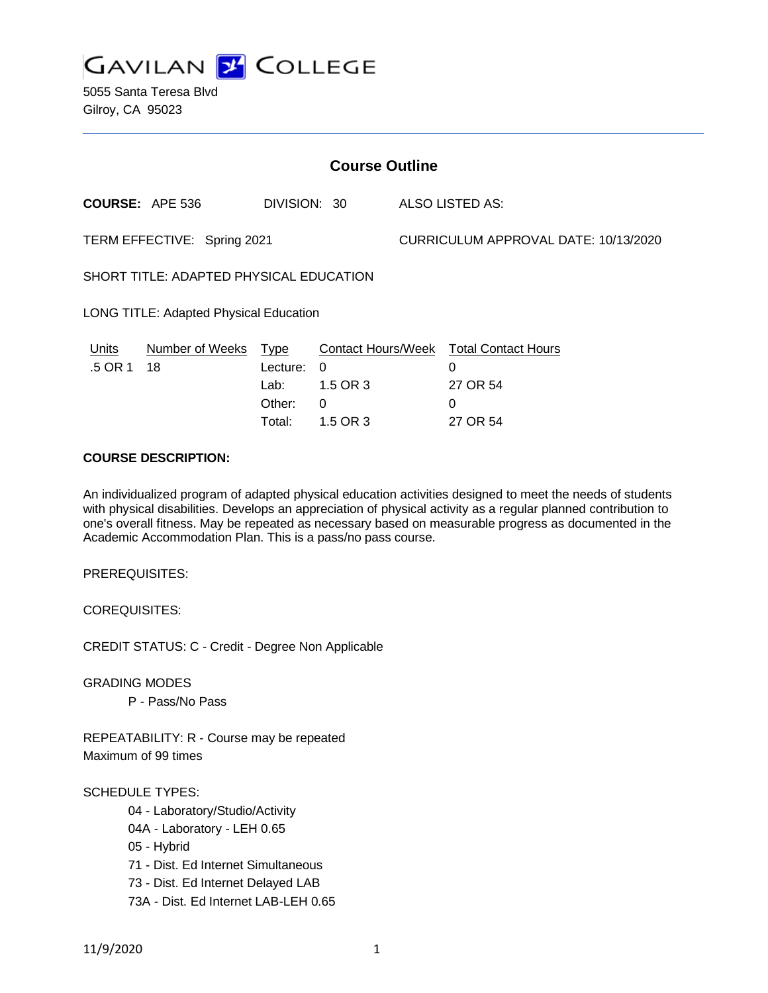

5055 Santa Teresa Blvd Gilroy, CA 95023

| <b>Course Outline</b>                   |                            |                                      |                                                                           |                                      |                                                              |
|-----------------------------------------|----------------------------|--------------------------------------|---------------------------------------------------------------------------|--------------------------------------|--------------------------------------------------------------|
|                                         | <b>COURSE: APE 536</b>     | DIVISION: 30                         |                                                                           |                                      | ALSO LISTED AS:                                              |
| TERM EFFECTIVE: Spring 2021             |                            |                                      |                                                                           | CURRICULUM APPROVAL DATE: 10/13/2020 |                                                              |
| SHORT TITLE: ADAPTED PHYSICAL EDUCATION |                            |                                      |                                                                           |                                      |                                                              |
| LONG TITLE: Adapted Physical Education  |                            |                                      |                                                                           |                                      |                                                              |
| Units<br>.5 OR 1                        | Number of Weeks Type<br>18 | Lecture:<br>Lab:<br>Other:<br>Total: | <b>Contact Hours/Week</b><br>$\Omega$<br>1.5 OR 3<br>$\theta$<br>1.5 OR 3 |                                      | <b>Total Contact Hours</b><br>0<br>27 OR 54<br>0<br>27 OR 54 |

## **COURSE DESCRIPTION:**

An individualized program of adapted physical education activities designed to meet the needs of students with physical disabilities. Develops an appreciation of physical activity as a regular planned contribution to one's overall fitness. May be repeated as necessary based on measurable progress as documented in the Academic Accommodation Plan. This is a pass/no pass course.

PREREQUISITES:

COREQUISITES:

CREDIT STATUS: C - Credit - Degree Non Applicable

GRADING MODES

P - Pass/No Pass

REPEATABILITY: R - Course may be repeated Maximum of 99 times

#### SCHEDULE TYPES:

- 04 Laboratory/Studio/Activity
- 04A Laboratory LEH 0.65
- 05 Hybrid
- 71 Dist. Ed Internet Simultaneous
- 73 Dist. Ed Internet Delayed LAB
- 73A Dist. Ed Internet LAB-LEH 0.65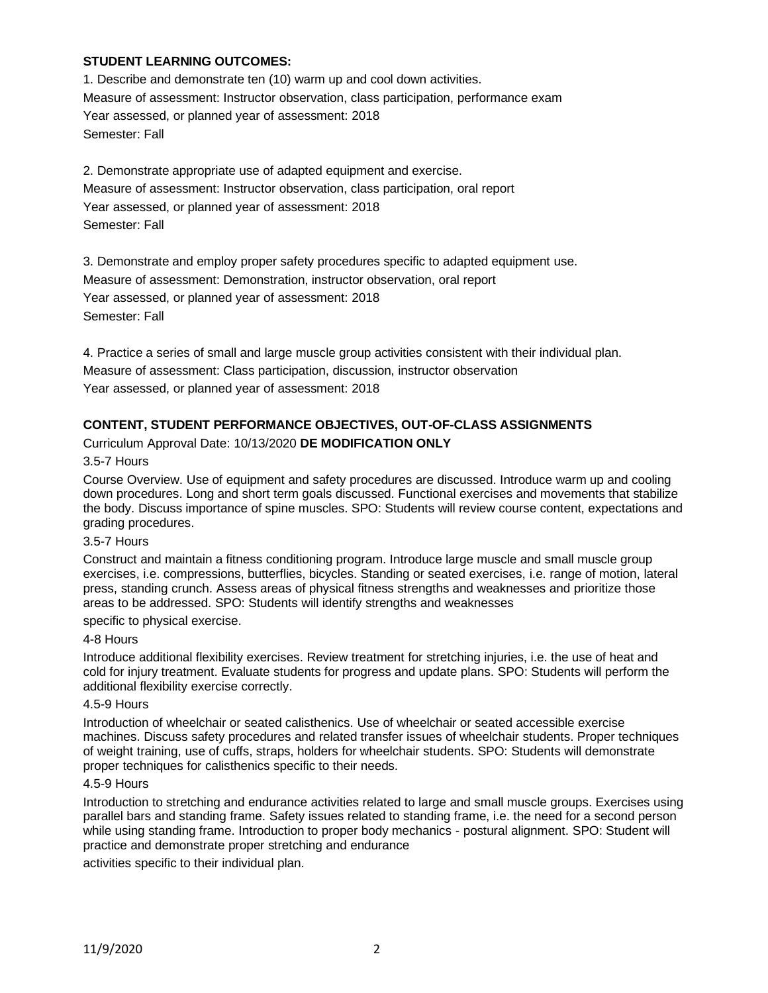## **STUDENT LEARNING OUTCOMES:**

1. Describe and demonstrate ten (10) warm up and cool down activities. Measure of assessment: Instructor observation, class participation, performance exam Year assessed, or planned year of assessment: 2018 Semester: Fall

2. Demonstrate appropriate use of adapted equipment and exercise. Measure of assessment: Instructor observation, class participation, oral report Year assessed, or planned year of assessment: 2018 Semester: Fall

3. Demonstrate and employ proper safety procedures specific to adapted equipment use. Measure of assessment: Demonstration, instructor observation, oral report Year assessed, or planned year of assessment: 2018 Semester: Fall

4. Practice a series of small and large muscle group activities consistent with their individual plan. Measure of assessment: Class participation, discussion, instructor observation Year assessed, or planned year of assessment: 2018

# **CONTENT, STUDENT PERFORMANCE OBJECTIVES, OUT-OF-CLASS ASSIGNMENTS**

Curriculum Approval Date: 10/13/2020 **DE MODIFICATION ONLY**

### 3.5-7 Hours

Course Overview. Use of equipment and safety procedures are discussed. Introduce warm up and cooling down procedures. Long and short term goals discussed. Functional exercises and movements that stabilize the body. Discuss importance of spine muscles. SPO: Students will review course content, expectations and grading procedures.

#### 3.5-7 Hours

Construct and maintain a fitness conditioning program. Introduce large muscle and small muscle group exercises, i.e. compressions, butterflies, bicycles. Standing or seated exercises, i.e. range of motion, lateral press, standing crunch. Assess areas of physical fitness strengths and weaknesses and prioritize those areas to be addressed. SPO: Students will identify strengths and weaknesses

specific to physical exercise.

### 4-8 Hours

Introduce additional flexibility exercises. Review treatment for stretching injuries, i.e. the use of heat and cold for injury treatment. Evaluate students for progress and update plans. SPO: Students will perform the additional flexibility exercise correctly.

#### 4.5-9 Hours

Introduction of wheelchair or seated calisthenics. Use of wheelchair or seated accessible exercise machines. Discuss safety procedures and related transfer issues of wheelchair students. Proper techniques of weight training, use of cuffs, straps, holders for wheelchair students. SPO: Students will demonstrate proper techniques for calisthenics specific to their needs.

#### 4.5-9 Hours

Introduction to stretching and endurance activities related to large and small muscle groups. Exercises using parallel bars and standing frame. Safety issues related to standing frame, i.e. the need for a second person while using standing frame. Introduction to proper body mechanics - postural alignment. SPO: Student will practice and demonstrate proper stretching and endurance

activities specific to their individual plan.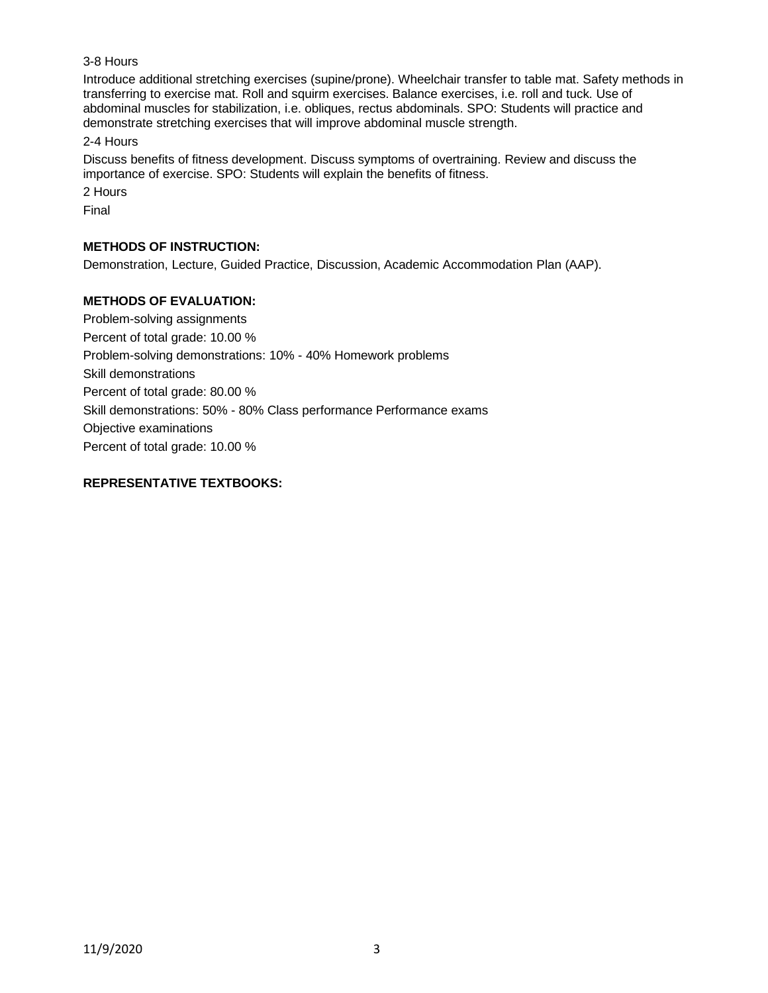## 3-8 Hours

Introduce additional stretching exercises (supine/prone). Wheelchair transfer to table mat. Safety methods in transferring to exercise mat. Roll and squirm exercises. Balance exercises, i.e. roll and tuck. Use of abdominal muscles for stabilization, i.e. obliques, rectus abdominals. SPO: Students will practice and demonstrate stretching exercises that will improve abdominal muscle strength.

2-4 Hours

Discuss benefits of fitness development. Discuss symptoms of overtraining. Review and discuss the importance of exercise. SPO: Students will explain the benefits of fitness.

2 Hours

Final

## **METHODS OF INSTRUCTION:**

Demonstration, Lecture, Guided Practice, Discussion, Academic Accommodation Plan (AAP).

### **METHODS OF EVALUATION:**

Problem-solving assignments Percent of total grade: 10.00 % Problem-solving demonstrations: 10% - 40% Homework problems Skill demonstrations Percent of total grade: 80.00 % Skill demonstrations: 50% - 80% Class performance Performance exams Objective examinations Percent of total grade: 10.00 %

## **REPRESENTATIVE TEXTBOOKS:**